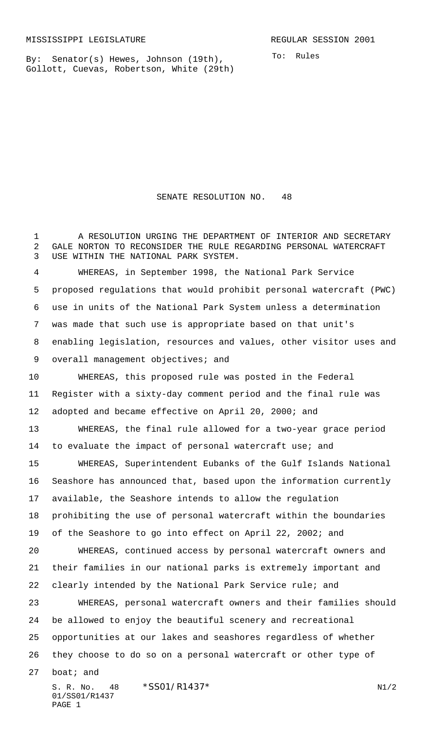By: Senator(s) Hewes, Johnson (19th), Gollott, Cuevas, Robertson, White (29th) To: Rules

1 A RESOLUTION URGING THE DEPARTMENT OF INTERIOR AND SECRETARY GALE NORTON TO RECONSIDER THE RULE REGARDING PERSONAL WATERCRAFT USE WITHIN THE NATIONAL PARK SYSTEM. WHEREAS, in September 1998, the National Park Service proposed regulations that would prohibit personal watercraft (PWC) use in units of the National Park System unless a determination was made that such use is appropriate based on that unit's enabling legislation, resources and values, other visitor uses and 9 overall management objectives; and

SENATE RESOLUTION NO. 48

 WHEREAS, this proposed rule was posted in the Federal Register with a sixty-day comment period and the final rule was adopted and became effective on April 20, 2000; and

 WHEREAS, the final rule allowed for a two-year grace period 14 to evaluate the impact of personal watercraft use; and

 WHEREAS, Superintendent Eubanks of the Gulf Islands National Seashore has announced that, based upon the information currently available, the Seashore intends to allow the regulation prohibiting the use of personal watercraft within the boundaries of the Seashore to go into effect on April 22, 2002; and

 WHEREAS, continued access by personal watercraft owners and their families in our national parks is extremely important and clearly intended by the National Park Service rule; and

 WHEREAS, personal watercraft owners and their families should be allowed to enjoy the beautiful scenery and recreational opportunities at our lakes and seashores regardless of whether they choose to do so on a personal watercraft or other type of

boat; and

S. R. No.  $48 \times$ SS01/R1437\* N1/2 01/SS01/R1437 PAGE 1